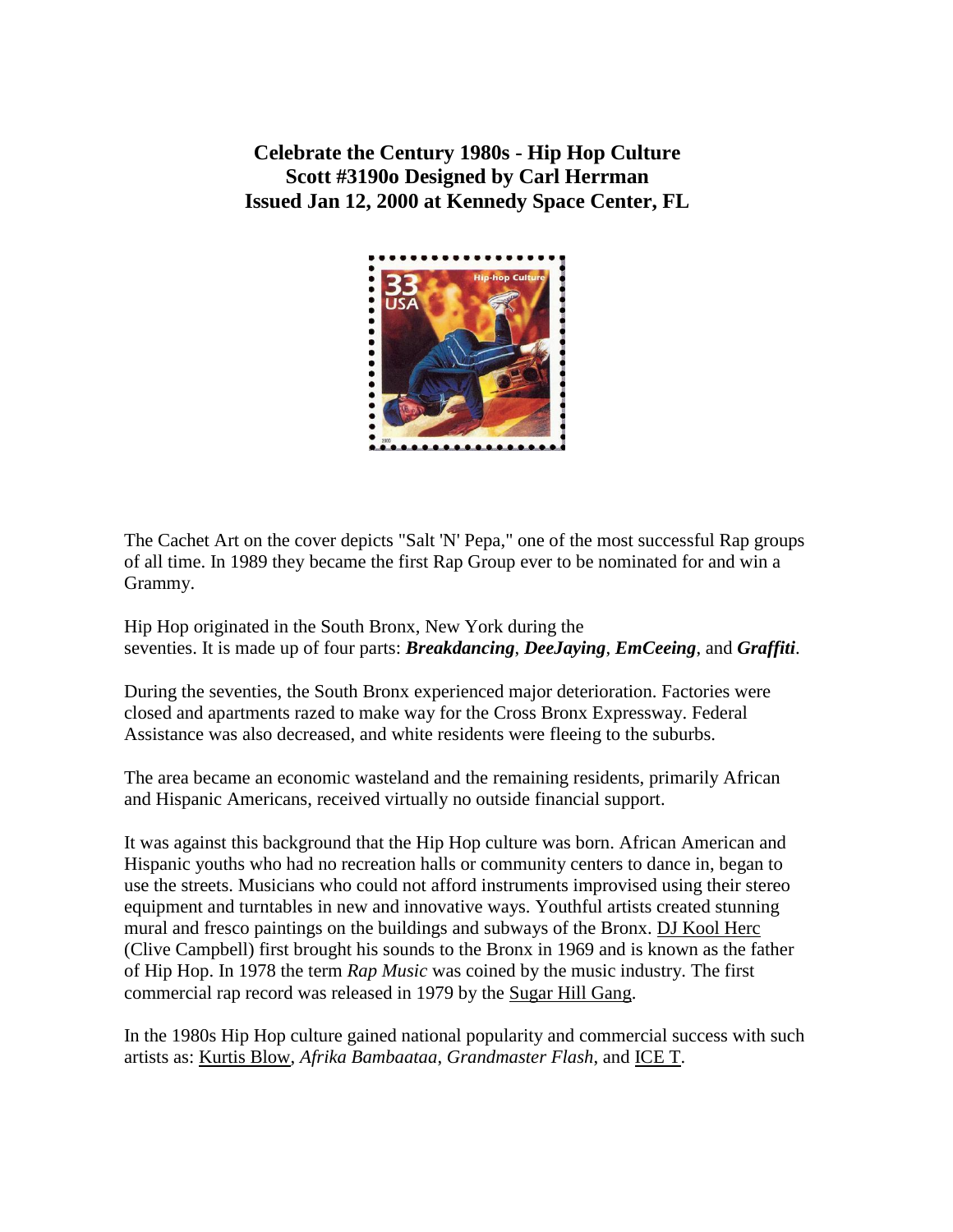**Celebrate the Century 1980s - Hip Hop Culture Scott #3190o Designed by Carl Herrman Issued Jan 12, 2000 at Kennedy Space Center, FL** 



The Cachet Art on the cover depicts "Salt 'N' Pepa," one of the most successful Rap groups of all time. In 1989 they became the first Rap Group ever to be nominated for and win a Grammy.

Hip Hop originated in the South Bronx, New York during the seventies. It is made up of four parts: *Breakdancing*, *DeeJaying*, *EmCeeing*, and *Graffiti*.

During the seventies, the South Bronx experienced major deterioration. Factories were closed and apartments razed to make way for the Cross Bronx Expressway. Federal Assistance was also decreased, and white residents were fleeing to the suburbs.

The area became an economic wasteland and the remaining residents, primarily African and Hispanic Americans, received virtually no outside financial support.

It was against this background that the Hip Hop culture was born. African American and Hispanic youths who had no recreation halls or community centers to dance in, began to use the streets. Musicians who could not afford instruments improvised using their stereo equipment and turntables in new and innovative ways. Youthful artists created stunning mural and fresco paintings on the buildings and subways of the Bronx. [DJ Kool Herc](http://www.zulunation.com/hip_hop_history_2.htm) (Clive Campbell) first brought his sounds to the Bronx in 1969 and is known as the father of Hip Hop. In 1978 the term *Rap Music* was coined by the music industry. The first commercial rap record was released in 1979 by the [Sugar Hill Gang.](http://www.bus.miami.edu/~ldouglas/house/shill/)

In the 1980s Hip Hop culture gained national popularity and commercial success with such artists as: [Kurtis Blow,](http://music.windowsmedia.msn.com/Artist/?artist=113693) *Afrika Bambaataa*, *Grandmaster Flash*, and [ICE T.](http://ice-t.8m.com/page2.html)